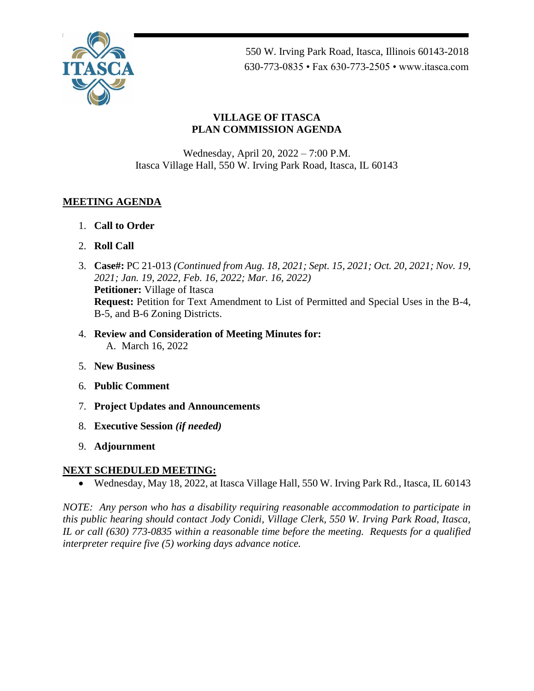

550 W. Irving Park Road, Itasca, Illinois 60143-2018 630-773-0835 • Fax 630-773-2505 • www.itasca.com

## **VILLAGE OF ITASCA PLAN COMMISSION AGENDA**

Wednesday, April 20, 2022 – 7:00 P.M. Itasca Village Hall, 550 W. Irving Park Road, Itasca, IL 60143

## **MEETING AGENDA**

- 1. **Call to Order**
- 2. **Roll Call**
- 3. **Case#:** PC 21-013 *(Continued from Aug. 18, 2021; Sept. 15, 2021; Oct. 20, 2021; Nov. 19, 2021; Jan. 19, 2022, Feb. 16, 2022; Mar. 16, 2022)* **Petitioner:** Village of Itasca **Request:** Petition for Text Amendment to List of Permitted and Special Uses in the B-4, B-5, and B-6 Zoning Districts.
- 4. **Review and Consideration of Meeting Minutes for:** A. March 16, 2022
- 5. **New Business**
- 6. **Public Comment**
- 7. **Project Updates and Announcements**
- 8. **Executive Session** *(if needed)*
- 9. **Adjournment**

## **NEXT SCHEDULED MEETING:**

• Wednesday, May 18, 2022, at Itasca Village Hall, 550 W. Irving Park Rd., Itasca, IL 60143

*NOTE: Any person who has a disability requiring reasonable accommodation to participate in this public hearing should contact Jody Conidi, Village Clerk, 550 W. Irving Park Road, Itasca, IL or call (630) 773-0835 within a reasonable time before the meeting. Requests for a qualified interpreter require five (5) working days advance notice.*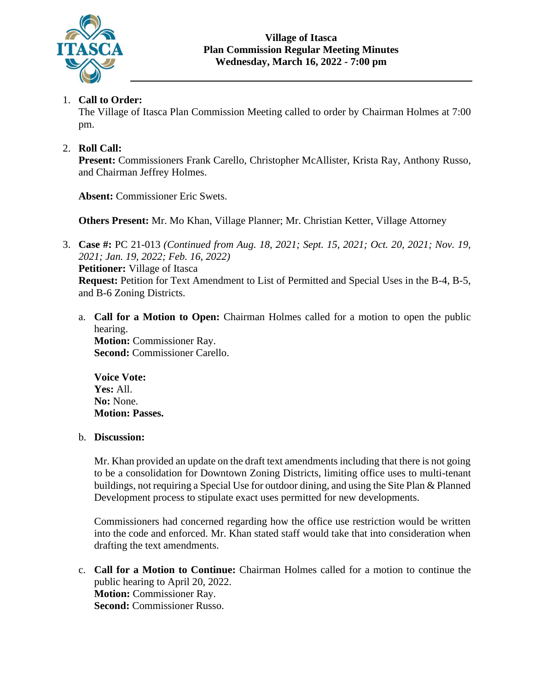

## 1. **Call to Order:**

The Village of Itasca Plan Commission Meeting called to order by Chairman Holmes at 7:00 pm.

## 2. **Roll Call:**

**Present:** Commissioners Frank Carello, Christopher McAllister, Krista Ray, Anthony Russo, and Chairman Jeffrey Holmes.

**Absent:** Commissioner Eric Swets.

**Others Present:** Mr. Mo Khan, Village Planner; Mr. Christian Ketter, Village Attorney

- 3. **Case #:** PC 21-013 *(Continued from Aug. 18, 2021; Sept. 15, 2021; Oct. 20, 2021; Nov. 19, 2021; Jan. 19, 2022; Feb. 16, 2022)* **Petitioner:** Village of Itasca **Request:** Petition for Text Amendment to List of Permitted and Special Uses in the B-4, B-5, and B-6 Zoning Districts.
	- a. **Call for a Motion to Open:** Chairman Holmes called for a motion to open the public hearing. **Motion:** Commissioner Ray. **Second:** Commissioner Carello.

**Voice Vote: Yes:** All. **No:** None. **Motion: Passes.**

### b. **Discussion:**

Mr. Khan provided an update on the draft text amendments including that there is not going to be a consolidation for Downtown Zoning Districts, limiting office uses to multi-tenant buildings, not requiring a Special Use for outdoor dining, and using the Site Plan & Planned Development process to stipulate exact uses permitted for new developments.

Commissioners had concerned regarding how the office use restriction would be written into the code and enforced. Mr. Khan stated staff would take that into consideration when drafting the text amendments.

c. **Call for a Motion to Continue:** Chairman Holmes called for a motion to continue the public hearing to April 20, 2022. **Motion:** Commissioner Ray. **Second:** Commissioner Russo.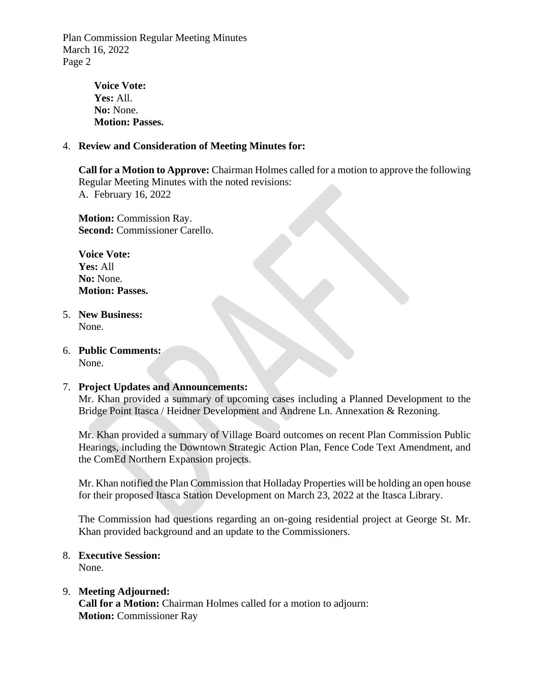Plan Commission Regular Meeting Minutes March 16, 2022 Page 2

> **Voice Vote: Yes:** All. **No:** None. **Motion: Passes.**

#### 4. **Review and Consideration of Meeting Minutes for:**

**Call for a Motion to Approve:** Chairman Holmes called for a motion to approve the following Regular Meeting Minutes with the noted revisions: A. February 16, 2022

**Motion:** Commission Ray. **Second:** Commissioner Carello.

**Voice Vote: Yes:** All **No:** None. **Motion: Passes.**

- 5. **New Business:** None.
- 6. **Public Comments:**  None.

#### 7. **Project Updates and Announcements:**

Mr. Khan provided a summary of upcoming cases including a Planned Development to the Bridge Point Itasca / Heidner Development and Andrene Ln. Annexation & Rezoning.

Mr. Khan provided a summary of Village Board outcomes on recent Plan Commission Public Hearings, including the Downtown Strategic Action Plan, Fence Code Text Amendment, and the ComEd Northern Expansion projects.

Mr. Khan notified the Plan Commission that Holladay Properties will be holding an open house for their proposed Itasca Station Development on March 23, 2022 at the Itasca Library.

The Commission had questions regarding an on-going residential project at George St. Mr. Khan provided background and an update to the Commissioners.

#### 8. **Executive Session:**

None.

#### 9. **Meeting Adjourned:**

**Call for a Motion:** Chairman Holmes called for a motion to adjourn: **Motion: Commissioner Ray**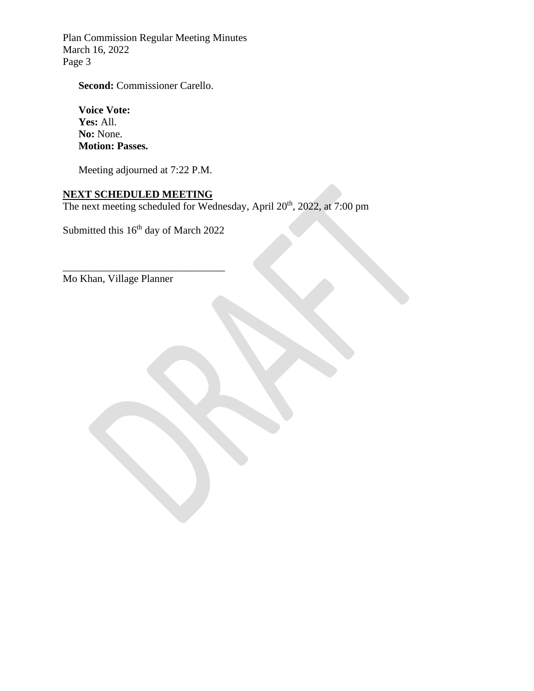Plan Commission Regular Meeting Minutes March 16, 2022 Page 3

**Second:** Commissioner Carello.

**Voice Vote: Yes:** All. **No:** None. **Motion: Passes.**

Meeting adjourned at 7:22 P.M.

### **NEXT SCHEDULED MEETING**

The next meeting scheduled for Wednesday, April 20<sup>th</sup>, 2022, at 7:00 pm

Submitted this 16<sup>th</sup> day of March 2022

\_\_\_\_\_\_\_\_\_\_\_\_\_\_\_\_\_\_\_\_\_\_\_\_\_\_\_\_\_\_\_

Mo Khan, Village Planner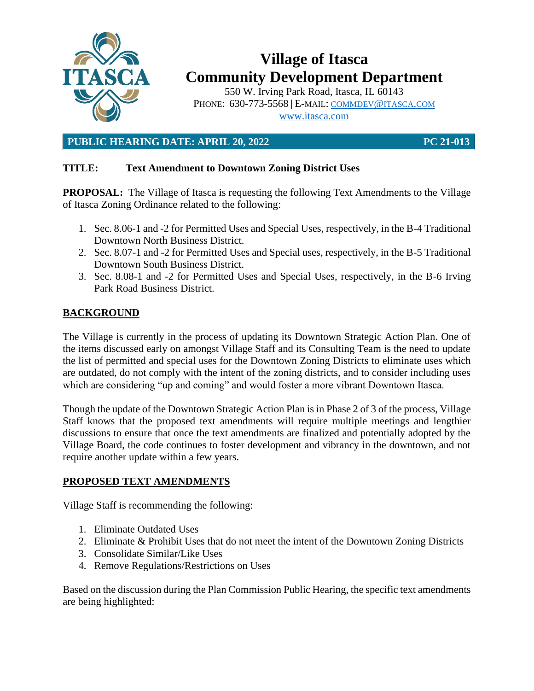

# **Village of Itasca Community Development Department**

550 W. Irving Park Road, Itasca, IL 60143 PHONE: 630-773-5568 | E-MAIL: [COMMDEV](mailto:commdev@itasca.com)@ITASCA.COM [www.itasca.com](http://www.itasca.com/)

**PUBLIC HEARING DATE: APRIL 20, 2022 PC 21-013**

## **TITLE: Text Amendment to Downtown Zoning District Uses**

**PROPOSAL:** The Village of Itasca is requesting the following Text Amendments to the Village of Itasca Zoning Ordinance related to the following:

- 1. Sec. 8.06-1 and -2 for Permitted Uses and Special Uses, respectively, in the B-4 Traditional Downtown North Business District.
- 2. Sec. 8.07-1 and -2 for Permitted Uses and Special uses, respectively, in the B-5 Traditional Downtown South Business District.
- 3. Sec. 8.08-1 and -2 for Permitted Uses and Special Uses, respectively, in the B-6 Irving Park Road Business District.

## **BACKGROUND**

The Village is currently in the process of updating its Downtown Strategic Action Plan. One of the items discussed early on amongst Village Staff and its Consulting Team is the need to update the list of permitted and special uses for the Downtown Zoning Districts to eliminate uses which are outdated, do not comply with the intent of the zoning districts, and to consider including uses which are considering "up and coming" and would foster a more vibrant Downtown Itasca.

Though the update of the Downtown Strategic Action Plan is in Phase 2 of 3 of the process, Village Staff knows that the proposed text amendments will require multiple meetings and lengthier discussions to ensure that once the text amendments are finalized and potentially adopted by the Village Board, the code continues to foster development and vibrancy in the downtown, and not require another update within a few years.

### **PROPOSED TEXT AMENDMENTS**

Village Staff is recommending the following:

- 1. Eliminate Outdated Uses
- 2. Eliminate & Prohibit Uses that do not meet the intent of the Downtown Zoning Districts
- 3. Consolidate Similar/Like Uses
- 4. Remove Regulations/Restrictions on Uses

Based on the discussion during the Plan Commission Public Hearing, the specific text amendments are being highlighted: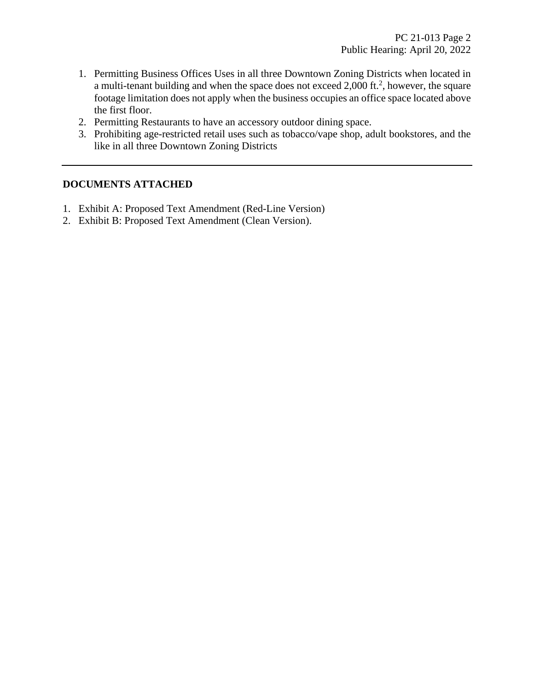- 1. Permitting Business Offices Uses in all three Downtown Zoning Districts when located in a multi-tenant building and when the space does not exceed 2,000 ft.<sup>2</sup>, however, the square footage limitation does not apply when the business occupies an office space located above the first floor.
- 2. Permitting Restaurants to have an accessory outdoor dining space.
- 3. Prohibiting age-restricted retail uses such as tobacco/vape shop, adult bookstores, and the like in all three Downtown Zoning Districts

#### **DOCUMENTS ATTACHED**

- 1. Exhibit A: Proposed Text Amendment (Red-Line Version)
- 2. Exhibit B: Proposed Text Amendment (Clean Version).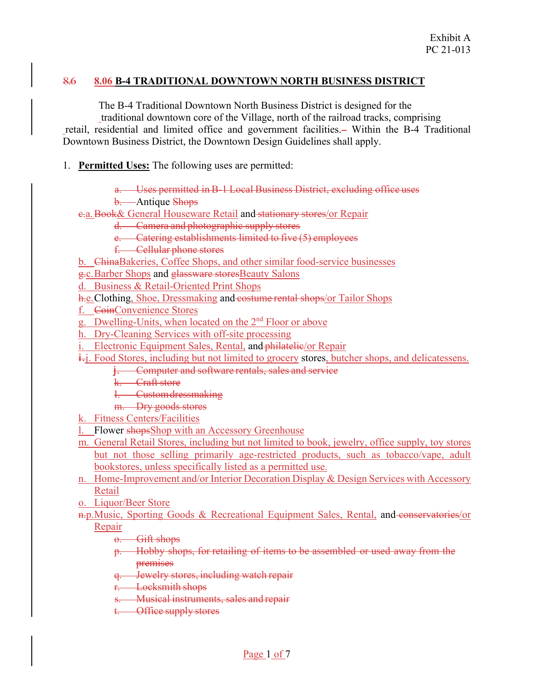#### 8.6 **8.06 B-4 TRADITIONAL DOWNTOWN NORTH BUSINESS DISTRICT**

The B-4 Traditional Downtown North Business District is designed for the

traditional downtown core of the Village, north of the railroad tracks, comprising retail, residential and limited office and government facilities. Within the B-4 Traditional Downtown Business District, the Downtown Design Guidelines shall apply.

1. **Permitted Uses:** The following uses are permitted:

a. Uses permitted in B-1 Local Business District, excluding office uses

b. Antique Shops

e.a. Book& General Houseware Retail and stationary stores/or Repair

d. Camera and photographic supply stores

e. Catering establishments limited to five (5) employees

f. Cellular phone stores

b. ChinaBakeries, Coffee Shops, and other similar food-service businesses

g.c.Barber Shops and glassware storesBeauty Salons

d. Business & Retail-Oriented Print Shops

h.e. Clothing, Shoe, Dressmaking and costume rental shops/or Tailor Shops

f. CoinConvenience Stores

g. Dwelling-Units, when located on the 2nd Floor or above

h. Dry-Cleaning Services with off-site processing

i. Electronic Equipment Sales, Rental, and philatelie/or Repair

i. Food Stores, including but not limited to grocery stores, butcher shops, and delicatessens.

**j.** Computer and software rentals, sales and service

k. Craft store

l. Custom dressmaking

m. Dry goods stores

k. Fitness Centers/Facilities

l. Flower shopsShop with an Accessory Greenhouse

m. General Retail Stores, including but not limited to book, jewelry, office supply, toy stores but not those selling primarily age-restricted products, such as tobacco/vape, adult bookstores, unless specifically listed as a permitted use.

n. Home-Improvement and/or Interior Decoration Display & Design Services with Accessory Retail

o. Liquor/Beer Store

n.p. Music, Sporting Goods & Recreational Equipment Sales, Rental, and conservatories/or Repair

o. Gift shops

p. Hobby shops, for retailing of items to be assembled or used away from the premises

q. Jewelry stores, including watch repair

r. Locksmith shops

s. Musical instruments, sales and repair

t. Office supply stores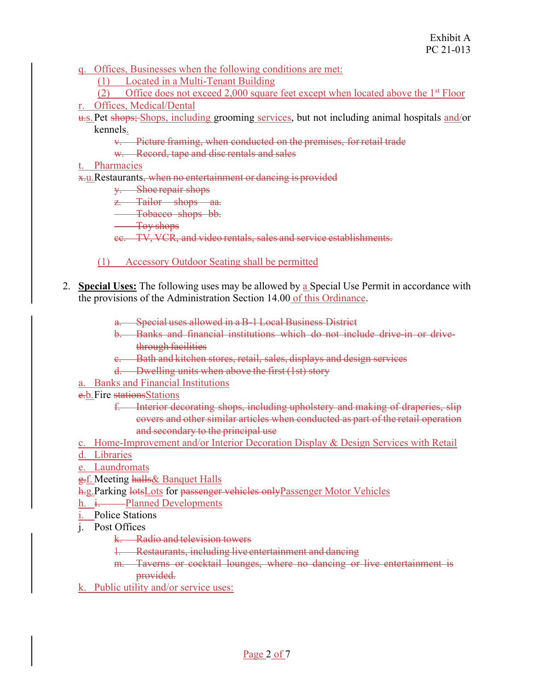q. Offices, Businesses when the following conditions are met:

(1) Located in a Multi-Tenant Building

(2) Office does not exceed 2,000 square feet except when located above the  $1<sup>st</sup>$  Floor

r. Offices, Medical/Dental

- u.s. Pet shops; Shops, including grooming services, but not including animal hospitals and/or kennels.
	- v. Picture framing, when conducted on the premises, for retail trade
	- w. Record, tape and disc rentals and sales

#### t. Pharmacies

x.u.Restaurants, when no entertainment or dancing is provided

y. Shoe repair shops

z. Tailor shops aa.

**Tobacco** shops bb.

Toy shops

cc. TV, VCR, and video rentals, sales and service establishments.

- (1) Accessory Outdoor Seating shall be permitted
- 2. **Special Uses:** The following uses may be allowed by a Special Use Permit in accordance with the provisions of the Administration Section 14.00 of this Ordinance.
	- a. Special uses allowed in a B-1 Local Business District
	- b. Banks and financial institutions which do not include drive-in or drivethrough facilities
	- c. Bath and kitchen stores, retail, sales, displays and design services
	- d. Dwelling units when above the first (1st) story
	- a. Banks and Financial Institutions
	- e.b. Fire stations Stations
		- f. Interior decorating shops, including upholstery and making of draperies, slip covers and other similar articles when conducted as part of the retail operation and secondary to the principal use
	- c. Home-Improvement and/or Interior Decoration Display & Design Services with Retail
	- d. Libraries
	- e. Laundromats
	- g.f. Meeting halls & Banquet Halls
	- h.g. Parking lots Lots for passenger vehicles only Passenger Motor Vehicles
	- h. i. Planned Developments
	- i. Police Stations
	- j. Post Offices
		- k. Radio and television towers
		- 1. Restaurants, including live entertainment and dancing
		- m. Taverns or cocktail lounges, where no dancing or live entertainment is provided.
	- k. Public utility and/or service uses: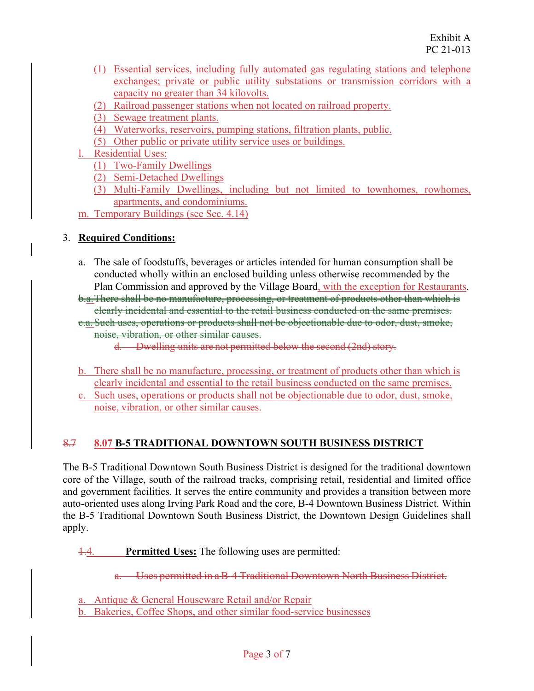- (1) Essential services, including fully automated gas regulating stations and telephone exchanges; private or public utility substations or transmission corridors with a capacity no greater than 34 kilovolts.
- (2) Railroad passenger stations when not located on railroad property.
- (3) Sewage treatment plants.
- (4) Waterworks, reservoirs, pumping stations, filtration plants, public.
- (5) Other public or private utility service uses or buildings.
- l. Residential Uses:
	- (1) Two-Family Dwellings
	- (2) Semi-Detached Dwellings
	- (3) Multi-Family Dwellings, including but not limited to townhomes, rowhomes, apartments, and condominiums.
- m. Temporary Buildings (see Sec. 4.14)

- a. The sale of foodstuffs, beverages or articles intended for human consumption shall be conducted wholly within an enclosed building unless otherwise recommended by the Plan Commission and approved by the Village Board, with the exception for Restaurants.
- b.a.There shall be no manufacture, processing, or treatment of products other than which is clearly incidental and essential to the retail business conducted on the same premises. c.a.Such uses, operations or products shall not be objectionable due to odor, dust, smoke,
	- noise, vibration, or other similar causes.
		- d. Dwelling units are not permitted below the second (2nd) story.
- b. There shall be no manufacture, processing, or treatment of products other than which is clearly incidental and essential to the retail business conducted on the same premises.
- c. Such uses, operations or products shall not be objectionable due to odor, dust, smoke, noise, vibration, or other similar causes.

## 8.7 **8.07 B-5 TRADITIONAL DOWNTOWN SOUTH BUSINESS DISTRICT**

The B-5 Traditional Downtown South Business District is designed for the traditional downtown core of the Village, south of the railroad tracks, comprising retail, residential and limited office and government facilities. It serves the entire community and provides a transition between more auto-oriented uses along Irving Park Road and the core, B-4 Downtown Business District. Within the B-5 Traditional Downtown South Business District, the Downtown Design Guidelines shall apply.

- 1.4. **Permitted Uses:** The following uses are permitted:
	- a. Uses permitted in a B-4 Traditional Downtown North Business District.

a. Antique & General Houseware Retail and/or Repair

b. Bakeries, Coffee Shops, and other similar food-service businesses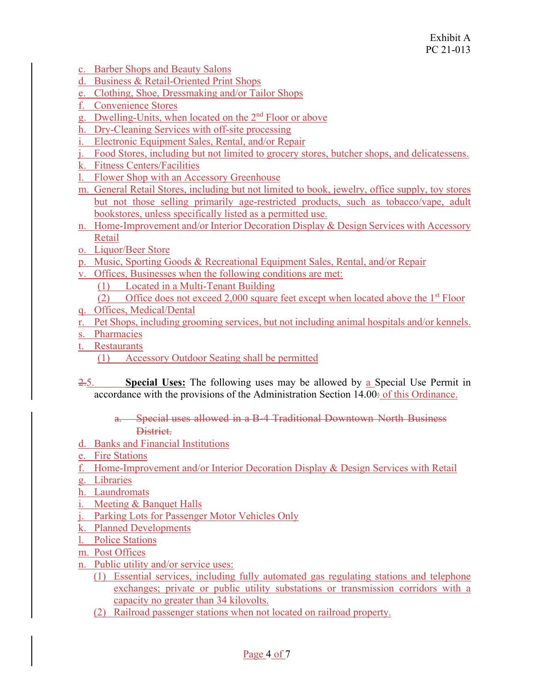- c. Barber Shops and Beauty Salons
- d. Business & Retail-Oriented Print Shops
- e. Clothing, Shoe, Dressmaking and/or Tailor Shops
- f. Convenience Stores
- g. Dwelling-Units, when located on the 2nd Floor or above
- h. Dry-Cleaning Services with off-site processing
- i. Electronic Equipment Sales, Rental, and/or Repair
- j. Food Stores, including but not limited to grocery stores, butcher shops, and delicatessens.
- k. Fitness Centers/Facilities
- l. Flower Shop with an Accessory Greenhouse
- m. General Retail Stores, including but not limited to book, jewelry, office supply, toy stores but not those selling primarily age-restricted products, such as tobacco/vape, adult bookstores, unless specifically listed as a permitted use.
- n. Home-Improvement and/or Interior Decoration Display & Design Services with Accessory Retail
- o. Liquor/Beer Store
- p. Music, Sporting Goods & Recreational Equipment Sales, Rental, and/or Repair
- v. Offices, Businesses when the following conditions are met:
	- (1) Located in a Multi-Tenant Building
	- (2) Office does not exceed 2,000 square feet except when located above the  $1<sup>st</sup>$  Floor
- q. Offices, Medical/Dental
- r. Pet Shops, including grooming services, but not including animal hospitals and/or kennels.
- s. Pharmacies
- t. Restaurants
	- (1) Accessory Outdoor Seating shall be permitted
- 2.5. **Special Uses:** The following uses may be allowed by a Special Use Permit in accordance with the provisions of the Administration Section 14.00: of this Ordinance.
	- a. Special uses allowed in a B-4 Traditional Downtown North Business District.
- d. Banks and Financial Institutions
- e. Fire Stations
- f. Home-Improvement and/or Interior Decoration Display & Design Services with Retail
- g. Libraries
- h. Laundromats
- i. Meeting & Banquet Halls
- j. Parking Lots for Passenger Motor Vehicles Only
- k. Planned Developments
- l. Police Stations
- m. Post Offices
- n. Public utility and/or service uses:
	- (1) Essential services, including fully automated gas regulating stations and telephone exchanges; private or public utility substations or transmission corridors with a capacity no greater than 34 kilovolts.
	- (2) Railroad passenger stations when not located on railroad property.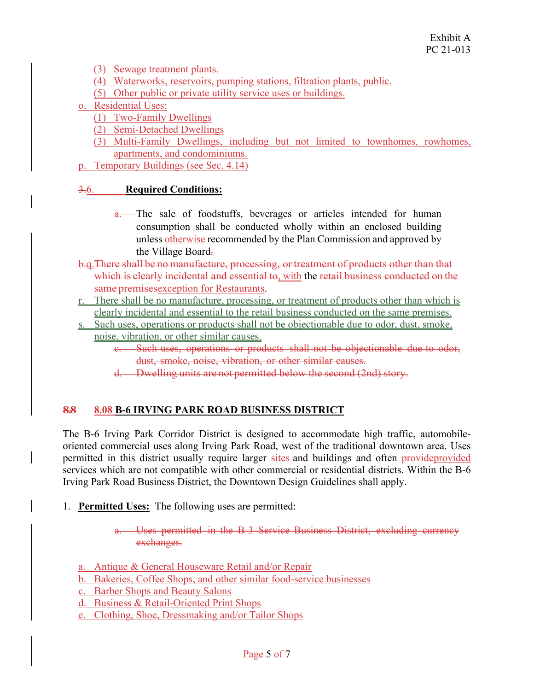(3) Sewage treatment plants.

- (4) Waterworks, reservoirs, pumping stations, filtration plants, public.
- (5) Other public or private utility service uses or buildings.
- o. Residential Uses:
	- (1) Two-Family Dwellings
	- (2) Semi-Detached Dwellings
	- (3) Multi-Family Dwellings, including but not limited to townhomes, rowhomes, apartments, and condominiums.
- p. Temporary Buildings (see Sec. 4.14)

### 3.6. **Required Conditions:**

- a. The sale of foodstuffs, beverages or articles intended for human consumption shall be conducted wholly within an enclosed building unless otherwise recommended by the Plan Commission and approved by the Village Board.
- b.q.There shall be no manufacture, processing, or treatment of products other than that which is clearly incidental and essential to, with the retail business conducted on the same premises exception for Restaurants.
- r. There shall be no manufacture, processing, or treatment of products other than which is clearly incidental and essential to the retail business conducted on the same premises.
- s. Such uses, operations or products shall not be objectionable due to odor, dust, smoke, noise, vibration, or other similar causes.
	- c. Such uses, operations or products shall not be objectionable due to odor, dust, smoke, noise, vibration, or other similar causes.
	- d. Dwelling units are not permitted below the second (2nd) story.

### **8.8 8.08 B-6 IRVING PARK ROAD BUSINESS DISTRICT**

The B-6 Irving Park Corridor District is designed to accommodate high traffic, automobileoriented commercial uses along Irving Park Road, west of the traditional downtown area. Uses permitted in this district usually require larger sites and buildings and often provideprovided services which are not compatible with other commercial or residential districts. Within the B-6 Irving Park Road Business District, the Downtown Design Guidelines shall apply.

- 1. **Permitted Uses:** The following uses are permitted:
	- a. Uses permitted in the B-3 Service Business District, excluding currency exchanges.
	- a. Antique & General Houseware Retail and/or Repair
	- b. Bakeries, Coffee Shops, and other similar food-service businesses
	- c. Barber Shops and Beauty Salons
	- d. Business & Retail-Oriented Print Shops
	- e. Clothing, Shoe, Dressmaking and/or Tailor Shops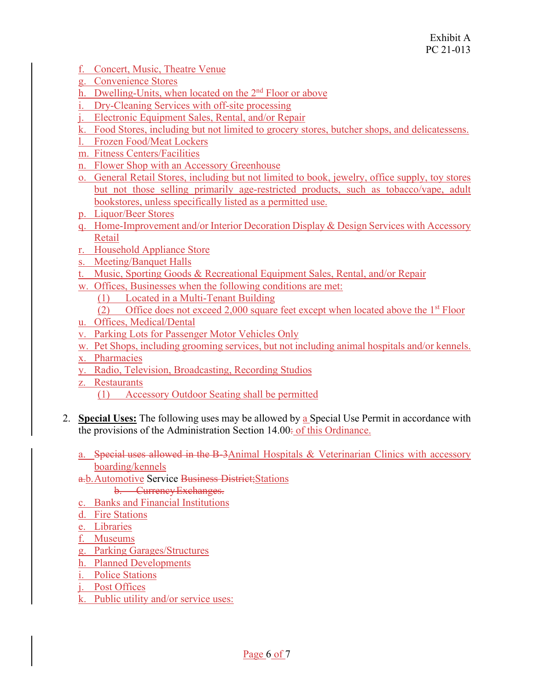- f. Concert, Music, Theatre Venue
- g. Convenience Stores
- h. Dwelling-Units, when located on the 2<sup>nd</sup> Floor or above
- i. Dry-Cleaning Services with off-site processing
- j. Electronic Equipment Sales, Rental, and/or Repair
- k. Food Stores, including but not limited to grocery stores, butcher shops, and delicatessens.
- l. Frozen Food/Meat Lockers
- m. Fitness Centers/Facilities
- n. Flower Shop with an Accessory Greenhouse
- o. General Retail Stores, including but not limited to book, jewelry, office supply, toy stores but not those selling primarily age-restricted products, such as tobacco/vape, adult bookstores, unless specifically listed as a permitted use.
- p. Liquor/Beer Stores
- q. Home-Improvement and/or Interior Decoration Display & Design Services with Accessory Retail
- r. Household Appliance Store
- s. Meeting/Banquet Halls
- t. Music, Sporting Goods & Recreational Equipment Sales, Rental, and/or Repair
- w. Offices, Businesses when the following conditions are met:
	- (1) Located in a Multi-Tenant Building
	- (2) Office does not exceed 2,000 square feet except when located above the  $1<sup>st</sup>$  Floor
- u. Offices, Medical/Dental
- v. Parking Lots for Passenger Motor Vehicles Only
- w. Pet Shops, including grooming services, but not including animal hospitals and/or kennels.
- x. Pharmacies
- y. Radio, Television, Broadcasting, Recording Studios
- z. Restaurants
	- (1) Accessory Outdoor Seating shall be permitted
- 2. **Special Uses:** The following uses may be allowed by a Special Use Permit in accordance with the provisions of the Administration Section 14.00: of this Ordinance.
	- a. Special uses allowed in the B-3Animal Hospitals & Veterinarian Clinics with accessory boarding/kennels
	- a.b. Automotive Service Business District; Stations
		- b. Currency Exchanges.
	- c. Banks and Financial Institutions
	- d. Fire Stations
	- e. Libraries
	- f. Museums
	- g. Parking Garages/Structures
	- h. Planned Developments
	- i. Police Stations
	- j. Post Offices
	- k. Public utility and/or service uses: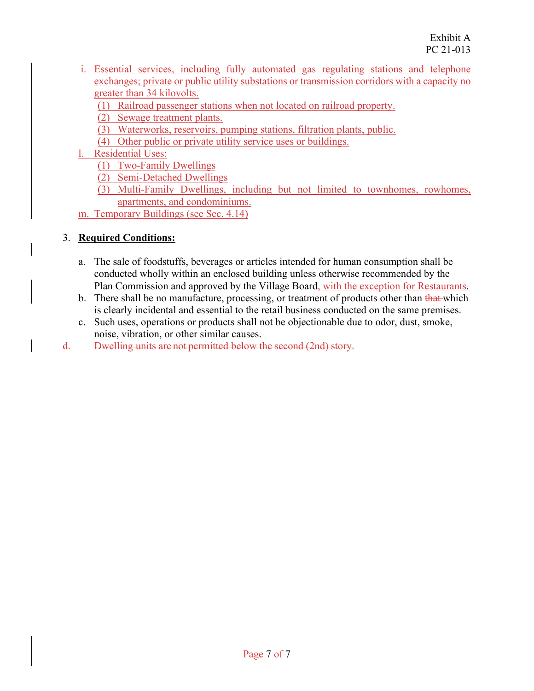- i. Essential services, including fully automated gas regulating stations and telephone exchanges; private or public utility substations or transmission corridors with a capacity no greater than 34 kilovolts.
	- (1) Railroad passenger stations when not located on railroad property.
	- (2) Sewage treatment plants.
	- (3) Waterworks, reservoirs, pumping stations, filtration plants, public.
	- (4) Other public or private utility service uses or buildings.
- l. Residential Uses:
	- (1) Two-Family Dwellings
	- (2) Semi-Detached Dwellings
	- (3) Multi-Family Dwellings, including but not limited to townhomes, rowhomes, apartments, and condominiums.
- m. Temporary Buildings (see Sec. 4.14)

- a. The sale of foodstuffs, beverages or articles intended for human consumption shall be conducted wholly within an enclosed building unless otherwise recommended by the Plan Commission and approved by the Village Board, with the exception for Restaurants.
- b. There shall be no manufacture, processing, or treatment of products other than that which is clearly incidental and essential to the retail business conducted on the same premises.
- c. Such uses, operations or products shall not be objectionable due to odor, dust, smoke, noise, vibration, or other similar causes.
- d. Dwelling units are not permitted below the second (2nd) story.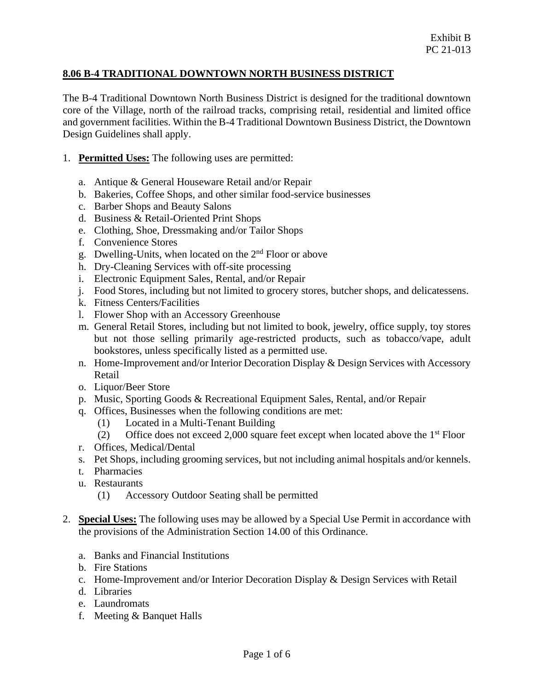#### **8.06 B-4 TRADITIONAL DOWNTOWN NORTH BUSINESS DISTRICT**

The B-4 Traditional Downtown North Business District is designed for the traditional downtown core of the Village, north of the railroad tracks, comprising retail, residential and limited office and government facilities. Within the B-4 Traditional Downtown Business District, the Downtown Design Guidelines shall apply.

- 1. **Permitted Uses:** The following uses are permitted:
	- a. Antique & General Houseware Retail and/or Repair
	- b. Bakeries, Coffee Shops, and other similar food-service businesses
	- c. Barber Shops and Beauty Salons
	- d. Business & Retail-Oriented Print Shops
	- e. Clothing, Shoe, Dressmaking and/or Tailor Shops
	- f. Convenience Stores
	- g. Dwelling-Units, when located on the 2nd Floor or above
	- h. Dry-Cleaning Services with off-site processing
	- i. Electronic Equipment Sales, Rental, and/or Repair
	- j. Food Stores, including but not limited to grocery stores, butcher shops, and delicatessens.
	- k. Fitness Centers/Facilities
	- l. Flower Shop with an Accessory Greenhouse
	- m. General Retail Stores, including but not limited to book, jewelry, office supply, toy stores but not those selling primarily age-restricted products, such as tobacco/vape, adult bookstores, unless specifically listed as a permitted use.
	- n. Home-Improvement and/or Interior Decoration Display  $&$  Design Services with Accessory Retail
	- o. Liquor/Beer Store
	- p. Music, Sporting Goods & Recreational Equipment Sales, Rental, and/or Repair
	- q. Offices, Businesses when the following conditions are met:
		- (1) Located in a Multi-Tenant Building
		- (2) Office does not exceed 2,000 square feet except when located above the  $1<sup>st</sup>$  Floor
	- r. Offices, Medical/Dental
	- s. Pet Shops, including grooming services, but not including animal hospitals and/or kennels.
	- t. Pharmacies
	- u. Restaurants
		- (1) Accessory Outdoor Seating shall be permitted
- 2. **Special Uses:** The following uses may be allowed by a Special Use Permit in accordance with the provisions of the Administration Section 14.00 of this Ordinance.
	- a. Banks and Financial Institutions
	- b. Fire Stations
	- c. Home-Improvement and/or Interior Decoration Display & Design Services with Retail
	- d. Libraries
	- e. Laundromats
	- f. Meeting & Banquet Halls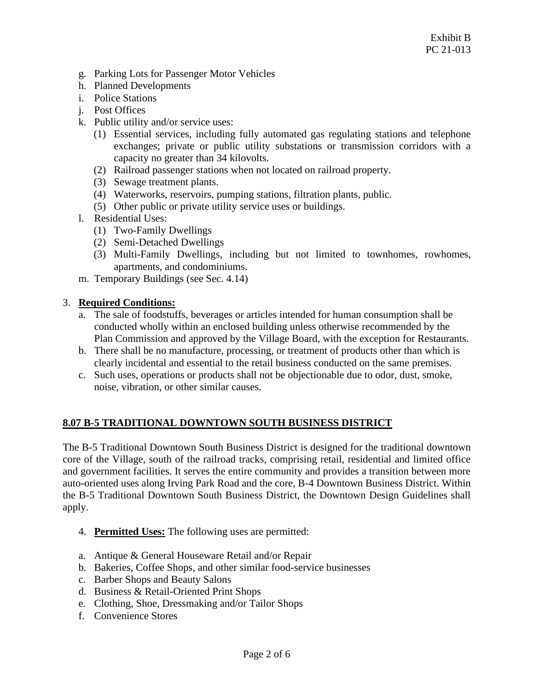- g. Parking Lots for Passenger Motor Vehicles
- h. Planned Developments
- i. Police Stations
- j. Post Offices
- k. Public utility and/or service uses:
	- (1) Essential services, including fully automated gas regulating stations and telephone exchanges; private or public utility substations or transmission corridors with a capacity no greater than 34 kilovolts.
	- (2) Railroad passenger stations when not located on railroad property.
	- (3) Sewage treatment plants.
	- (4) Waterworks, reservoirs, pumping stations, filtration plants, public.
	- (5) Other public or private utility service uses or buildings.
- l. Residential Uses:
	- (1) Two-Family Dwellings
	- (2) Semi-Detached Dwellings
	- (3) Multi-Family Dwellings, including but not limited to townhomes, rowhomes, apartments, and condominiums.
- m. Temporary Buildings (see Sec. 4.14)

- a. The sale of foodstuffs, beverages or articles intended for human consumption shall be conducted wholly within an enclosed building unless otherwise recommended by the Plan Commission and approved by the Village Board, with the exception for Restaurants.
- b. There shall be no manufacture, processing, or treatment of products other than which is clearly incidental and essential to the retail business conducted on the same premises.
- c. Such uses, operations or products shall not be objectionable due to odor, dust, smoke, noise, vibration, or other similar causes.

## **8.07 B-5 TRADITIONAL DOWNTOWN SOUTH BUSINESS DISTRICT**

The B-5 Traditional Downtown South Business District is designed for the traditional downtown core of the Village, south of the railroad tracks, comprising retail, residential and limited office and government facilities. It serves the entire community and provides a transition between more auto-oriented uses along Irving Park Road and the core, B-4 Downtown Business District. Within the B-5 Traditional Downtown South Business District, the Downtown Design Guidelines shall apply.

- 4. **Permitted Uses:** The following uses are permitted:
- a. Antique & General Houseware Retail and/or Repair
- b. Bakeries, Coffee Shops, and other similar food-service businesses
- c. Barber Shops and Beauty Salons
- d. Business & Retail-Oriented Print Shops
- e. Clothing, Shoe, Dressmaking and/or Tailor Shops
- f. Convenience Stores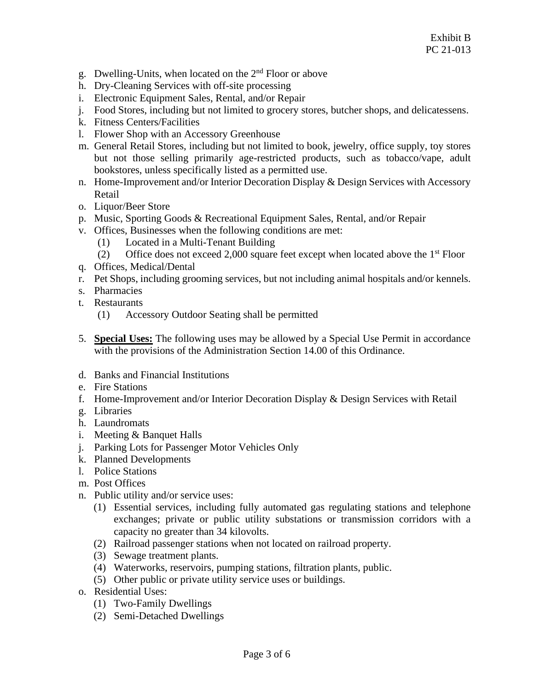- g. Dwelling-Units, when located on the 2nd Floor or above
- h. Dry-Cleaning Services with off-site processing
- i. Electronic Equipment Sales, Rental, and/or Repair
- j. Food Stores, including but not limited to grocery stores, butcher shops, and delicatessens.
- k. Fitness Centers/Facilities
- l. Flower Shop with an Accessory Greenhouse
- m. General Retail Stores, including but not limited to book, jewelry, office supply, toy stores but not those selling primarily age-restricted products, such as tobacco/vape, adult bookstores, unless specifically listed as a permitted use.
- n. Home-Improvement and/or Interior Decoration Display & Design Services with Accessory Retail
- o. Liquor/Beer Store
- p. Music, Sporting Goods & Recreational Equipment Sales, Rental, and/or Repair
- v. Offices, Businesses when the following conditions are met:
	- (1) Located in a Multi-Tenant Building
	- (2) Office does not exceed 2,000 square feet except when located above the  $1<sup>st</sup>$  Floor
- q. Offices, Medical/Dental
- r. Pet Shops, including grooming services, but not including animal hospitals and/or kennels.
- s. Pharmacies
- t. Restaurants
	- (1) Accessory Outdoor Seating shall be permitted
- 5. **Special Uses:** The following uses may be allowed by a Special Use Permit in accordance with the provisions of the Administration Section 14.00 of this Ordinance.
- d. Banks and Financial Institutions
- e. Fire Stations
- f. Home-Improvement and/or Interior Decoration Display & Design Services with Retail
- g. Libraries
- h. Laundromats
- i. Meeting & Banquet Halls
- j. Parking Lots for Passenger Motor Vehicles Only
- k. Planned Developments
- l. Police Stations
- m. Post Offices
- n. Public utility and/or service uses:
	- (1) Essential services, including fully automated gas regulating stations and telephone exchanges; private or public utility substations or transmission corridors with a capacity no greater than 34 kilovolts.
	- (2) Railroad passenger stations when not located on railroad property.
	- (3) Sewage treatment plants.
	- (4) Waterworks, reservoirs, pumping stations, filtration plants, public.
	- (5) Other public or private utility service uses or buildings.
- o. Residential Uses:
	- (1) Two-Family Dwellings
	- (2) Semi-Detached Dwellings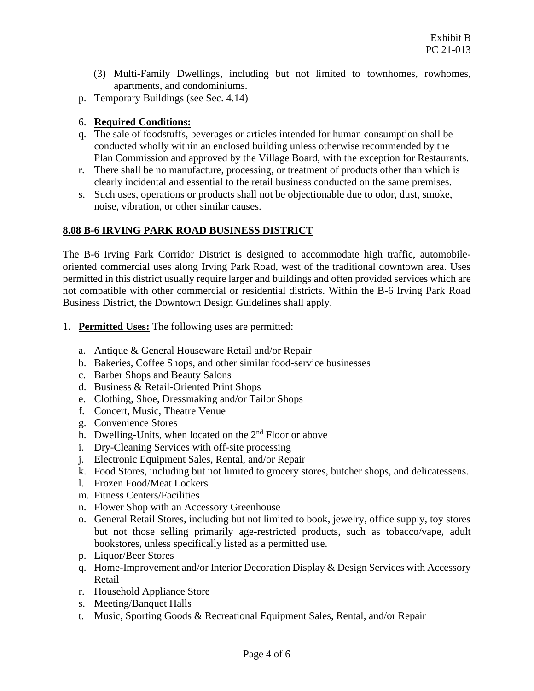- (3) Multi-Family Dwellings, including but not limited to townhomes, rowhomes, apartments, and condominiums.
- p. Temporary Buildings (see Sec. 4.14)

- q. The sale of foodstuffs, beverages or articles intended for human consumption shall be conducted wholly within an enclosed building unless otherwise recommended by the Plan Commission and approved by the Village Board, with the exception for Restaurants.
- r. There shall be no manufacture, processing, or treatment of products other than which is clearly incidental and essential to the retail business conducted on the same premises.
- s. Such uses, operations or products shall not be objectionable due to odor, dust, smoke, noise, vibration, or other similar causes.

## **8.08 B-6 IRVING PARK ROAD BUSINESS DISTRICT**

The B-6 Irving Park Corridor District is designed to accommodate high traffic, automobileoriented commercial uses along Irving Park Road, west of the traditional downtown area. Uses permitted in this district usually require larger and buildings and often provided services which are not compatible with other commercial or residential districts. Within the B-6 Irving Park Road Business District, the Downtown Design Guidelines shall apply.

- 1. **Permitted Uses:** The following uses are permitted:
	- a. Antique & General Houseware Retail and/or Repair
	- b. Bakeries, Coffee Shops, and other similar food-service businesses
	- c. Barber Shops and Beauty Salons
	- d. Business & Retail-Oriented Print Shops
	- e. Clothing, Shoe, Dressmaking and/or Tailor Shops
	- f. Concert, Music, Theatre Venue
	- g. Convenience Stores
	- h. Dwelling-Units, when located on the 2<sup>nd</sup> Floor or above
	- i. Dry-Cleaning Services with off-site processing
	- j. Electronic Equipment Sales, Rental, and/or Repair
	- k. Food Stores, including but not limited to grocery stores, butcher shops, and delicatessens.
	- l. Frozen Food/Meat Lockers
	- m. Fitness Centers/Facilities
	- n. Flower Shop with an Accessory Greenhouse
	- o. General Retail Stores, including but not limited to book, jewelry, office supply, toy stores but not those selling primarily age-restricted products, such as tobacco/vape, adult bookstores, unless specifically listed as a permitted use.
	- p. Liquor/Beer Stores
	- q. Home-Improvement and/or Interior Decoration Display  $&$  Design Services with Accessory Retail
	- r. Household Appliance Store
	- s. Meeting/Banquet Halls
	- t. Music, Sporting Goods & Recreational Equipment Sales, Rental, and/or Repair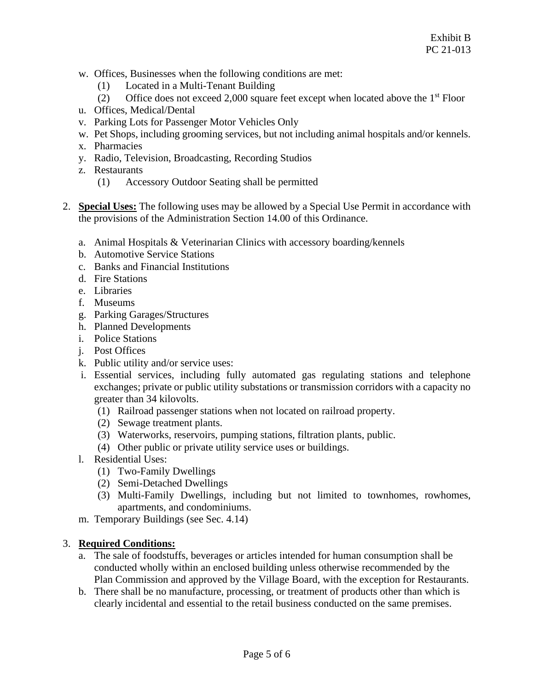- w. Offices, Businesses when the following conditions are met:
	- (1) Located in a Multi-Tenant Building
	- (2) Office does not exceed 2,000 square feet except when located above the  $1<sup>st</sup>$  Floor
- u. Offices, Medical/Dental
- v. Parking Lots for Passenger Motor Vehicles Only
- w. Pet Shops, including grooming services, but not including animal hospitals and/or kennels.
- x. Pharmacies
- y. Radio, Television, Broadcasting, Recording Studios
- z. Restaurants
	- (1) Accessory Outdoor Seating shall be permitted
- 2. **Special Uses:** The following uses may be allowed by a Special Use Permit in accordance with the provisions of the Administration Section 14.00 of this Ordinance.
	- a. Animal Hospitals & Veterinarian Clinics with accessory boarding/kennels
	- b. Automotive Service Stations
	- c. Banks and Financial Institutions
	- d. Fire Stations
	- e. Libraries
	- f. Museums
	- g. Parking Garages/Structures
	- h. Planned Developments
	- i. Police Stations
	- j. Post Offices
	- k. Public utility and/or service uses:
	- i. Essential services, including fully automated gas regulating stations and telephone exchanges; private or public utility substations or transmission corridors with a capacity no greater than 34 kilovolts.
		- (1) Railroad passenger stations when not located on railroad property.
		- (2) Sewage treatment plants.
		- (3) Waterworks, reservoirs, pumping stations, filtration plants, public.
		- (4) Other public or private utility service uses or buildings.
	- l. Residential Uses:
		- (1) Two-Family Dwellings
		- (2) Semi-Detached Dwellings
		- (3) Multi-Family Dwellings, including but not limited to townhomes, rowhomes, apartments, and condominiums.
	- m. Temporary Buildings (see Sec. 4.14)

- a. The sale of foodstuffs, beverages or articles intended for human consumption shall be conducted wholly within an enclosed building unless otherwise recommended by the Plan Commission and approved by the Village Board, with the exception for Restaurants.
- b. There shall be no manufacture, processing, or treatment of products other than which is clearly incidental and essential to the retail business conducted on the same premises.